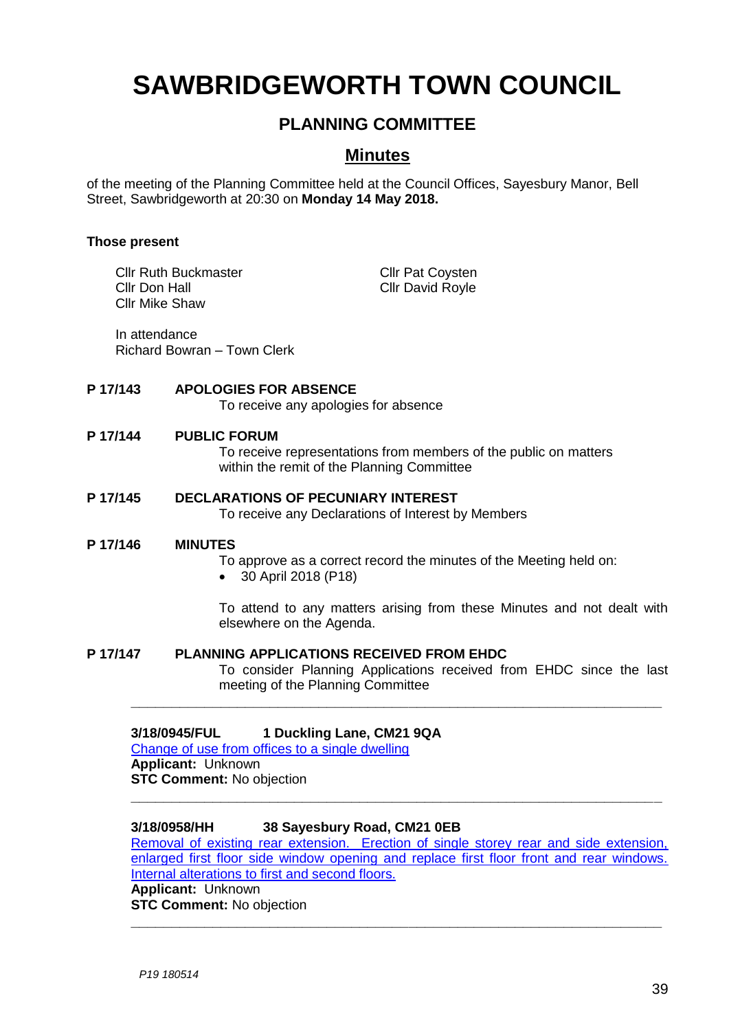# **SAWBRIDGEWORTH TOWN COUNCIL**

# **PLANNING COMMITTEE**

# **Minutes**

of the meeting of the Planning Committee held at the Council Offices, Sayesbury Manor, Bell Street, Sawbridgeworth at 20:30 on **Monday 14 May 2018.**

#### **Those present**

Cllr Ruth Buckmaster Cllr Pat Coysten **Cllr Don Hall** Cllr David Royle Cllr Mike Shaw

In attendance Richard Bowran – Town Clerk

### **P 17/143 APOLOGIES FOR ABSENCE**

To receive any apologies for absence

#### **P 17/144 PUBLIC FORUM**

To receive representations from members of the public on matters within the remit of the Planning Committee

#### **P 17/145 DECLARATIONS OF PECUNIARY INTEREST**

To receive any Declarations of Interest by Members

#### **P 17/146 MINUTES**

To approve as a correct record the minutes of the Meeting held on:

30 April 2018 (P18)

To attend to any matters arising from these Minutes and not dealt with elsewhere on the Agenda.

### **P 17/147 PLANNING APPLICATIONS RECEIVED FROM EHDC**

To consider Planning Applications received from EHDC since the last meeting of the Planning Committee

### **3/18/0945/FUL 1 Duckling Lane, CM21 9QA**

Change of use from [offices to a single dwelling](https://publicaccess.eastherts.gov.uk/online-applications/applicationDetails.do?activeTab=documents&keyVal=P7OZU9GL00V00) **Applicant:** Unknown **STC Comment:** No objection

### **3/18/0958/HH 38 Sayesbury Road, CM21 0EB**

[Removal of existing rear extension. Erection of single storey rear and side extension,](https://publicaccess.eastherts.gov.uk/online-applications/applicationDetails.do?activeTab=documents&keyVal=P7QMOCGLLM300)  enlarged first floor side window opening and replace first floor front and rear windows. [Internal alterations to first and second floors.](https://publicaccess.eastherts.gov.uk/online-applications/applicationDetails.do?activeTab=documents&keyVal=P7QMOCGLLM300)

**\_\_\_\_\_\_\_\_\_\_\_\_\_\_\_\_\_\_\_\_\_\_\_\_\_\_\_\_\_\_\_\_\_\_\_\_\_\_\_\_\_\_\_\_\_\_\_\_\_\_\_\_\_\_\_\_\_\_\_\_\_\_\_\_\_**

**\_\_\_\_\_\_\_\_\_\_\_\_\_\_\_\_\_\_\_\_\_\_\_\_\_\_\_\_\_\_\_\_\_\_\_\_\_\_\_\_\_\_\_\_\_\_\_\_\_\_\_\_\_\_\_\_\_\_\_\_\_\_\_\_\_**

**\_\_\_\_\_\_\_\_\_\_\_\_\_\_\_\_\_\_\_\_\_\_\_\_\_\_\_\_\_\_\_\_\_\_\_\_\_\_\_\_\_\_\_\_\_\_\_\_\_\_\_\_\_\_\_\_\_\_\_\_\_\_\_\_\_**

**Applicant:** Unknown **STC Comment:** No objection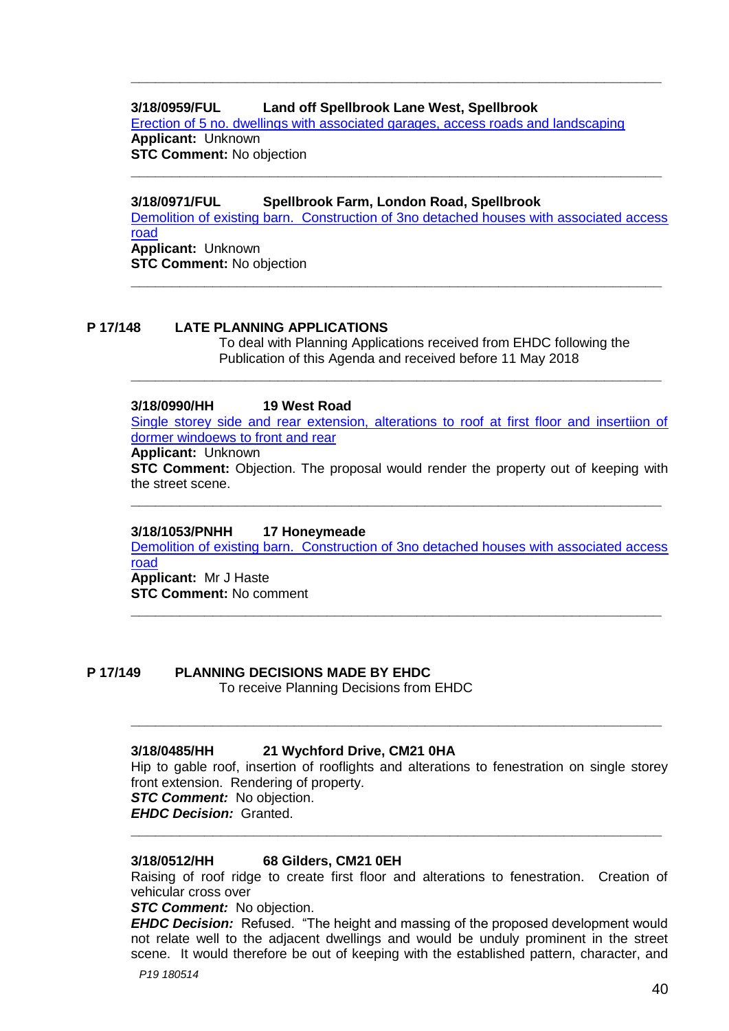## **3/18/0959/FUL Land off Spellbrook Lane West, Spellbrook**

[Erection of 5 no. dwellings with associated garages, access roads and landscaping](https://publicaccess.eastherts.gov.uk/online-applications/applicationDetails.do?activeTab=documents&keyVal=P7QXT2GLLM600) **Applicant:** Unknown **STC Comment:** No objection

**\_\_\_\_\_\_\_\_\_\_\_\_\_\_\_\_\_\_\_\_\_\_\_\_\_\_\_\_\_\_\_\_\_\_\_\_\_\_\_\_\_\_\_\_\_\_\_\_\_\_\_\_\_\_\_\_\_\_\_\_\_\_\_\_\_**

### **3/18/0971/FUL Spellbrook Farm, London Road, Spellbrook**

[Demolition of existing barn. Construction of 3no detached houses with associated access](https://publicaccess.eastherts.gov.uk/online-applications/applicationDetails.do?activeTab=documents&keyVal=P7U0NFGL00V00)  [road](https://publicaccess.eastherts.gov.uk/online-applications/applicationDetails.do?activeTab=documents&keyVal=P7U0NFGL00V00) **Applicant:** Unknown **STC Comment:** No objection

**\_\_\_\_\_\_\_\_\_\_\_\_\_\_\_\_\_\_\_\_\_\_\_\_\_\_\_\_\_\_\_\_\_\_\_\_\_\_\_\_\_\_\_\_\_\_\_\_\_\_\_\_\_\_\_\_\_\_\_\_\_\_\_\_\_**

**\_\_\_\_\_\_\_\_\_\_\_\_\_\_\_\_\_\_\_\_\_\_\_\_\_\_\_\_\_\_\_\_\_\_\_\_\_\_\_\_\_\_\_\_\_\_\_\_\_\_\_\_\_\_\_\_\_\_\_\_\_\_\_\_\_**

#### **P 17/148 LATE PLANNING APPLICATIONS**

To deal with Planning Applications received from EHDC following the Publication of this Agenda and received before 11 May 2018

#### **3/18/0990/HH 19 West Road**

[Single storey side and rear extension, alterations to roof at first floor and insertiion of](https://publicaccess.eastherts.gov.uk/online-applications/applicationDetails.do?activeTab=documents&keyVal=P7QXT2GLLM600)  [dormer windoews to front and rear](https://publicaccess.eastherts.gov.uk/online-applications/applicationDetails.do?activeTab=documents&keyVal=P7QXT2GLLM600)

**\_\_\_\_\_\_\_\_\_\_\_\_\_\_\_\_\_\_\_\_\_\_\_\_\_\_\_\_\_\_\_\_\_\_\_\_\_\_\_\_\_\_\_\_\_\_\_\_\_\_\_\_\_\_\_\_\_\_\_\_\_\_\_\_\_**

#### **Applicant:** Unknown

**STC Comment:** Objection. The proposal would render the property out of keeping with the street scene.

**\_\_\_\_\_\_\_\_\_\_\_\_\_\_\_\_\_\_\_\_\_\_\_\_\_\_\_\_\_\_\_\_\_\_\_\_\_\_\_\_\_\_\_\_\_\_\_\_\_\_\_\_\_\_\_\_\_\_\_\_\_\_\_\_\_**

#### **3/18/1053/PNHH 17 Honeymeade**

[Demolition of existing barn. Construction of 3no detached houses with associated access](https://publicaccess.eastherts.gov.uk/online-applications/applicationDetails.do?activeTab=documents&keyVal=P7U0NFGL00V00)  [road](https://publicaccess.eastherts.gov.uk/online-applications/applicationDetails.do?activeTab=documents&keyVal=P7U0NFGL00V00) **Applicant:** Mr J Haste

**\_\_\_\_\_\_\_\_\_\_\_\_\_\_\_\_\_\_\_\_\_\_\_\_\_\_\_\_\_\_\_\_\_\_\_\_\_\_\_\_\_\_\_\_\_\_\_\_\_\_\_\_\_\_\_\_\_\_\_\_\_\_\_\_\_**

**STC Comment:** No comment

#### **P 17/149 PLANNING DECISIONS MADE BY EHDC**

To receive Planning Decisions from EHDC

#### **3/18/0485/HH 21 Wychford Drive, CM21 0HA**

Hip to gable roof, insertion of rooflights and alterations to fenestration on single storey front extension. Rendering of property.

**\_\_\_\_\_\_\_\_\_\_\_\_\_\_\_\_\_\_\_\_\_\_\_\_\_\_\_\_\_\_\_\_\_\_\_\_\_\_\_\_\_\_\_\_\_\_\_\_\_\_\_\_\_\_\_\_\_\_\_\_\_\_\_\_\_**

*STC Comment:* No objection.

*EHDC Decision:* Granted. **\_\_\_\_\_\_\_\_\_\_\_\_\_\_\_\_\_\_\_\_\_\_\_\_\_\_\_\_\_\_\_\_\_\_\_\_\_\_\_\_\_\_\_\_\_\_\_\_\_\_\_\_\_\_\_\_\_\_\_\_\_\_\_\_\_**

#### **3/18/0512/HH 68 Gilders, CM21 0EH**

Raising of roof ridge to create first floor and alterations to fenestration. Creation of vehicular cross over

#### *STC Comment:* No objection.

*EHDC Decision:* Refused. "The height and massing of the proposed development would not relate well to the adjacent dwellings and would be unduly prominent in the street scene. It would therefore be out of keeping with the established pattern, character, and